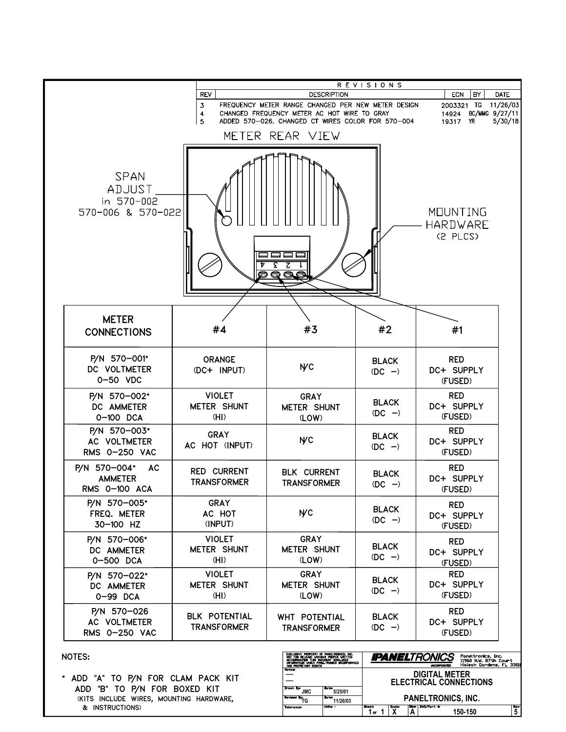|                                                                 | <b>REVISIONS</b><br>BY<br><b>ECN</b><br><b>DATE</b> |                                                                                                                                                                                                              |                           |                                                                          |  |  |  |  |  |  |
|-----------------------------------------------------------------|-----------------------------------------------------|--------------------------------------------------------------------------------------------------------------------------------------------------------------------------------------------------------------|---------------------------|--------------------------------------------------------------------------|--|--|--|--|--|--|
|                                                                 |                                                     | <b>REV</b><br><b>DESCRIPTION</b><br>3<br>FREQUENCY METER RANGE CHANGED PER NEW METER DESIGN                                                                                                                  |                           |                                                                          |  |  |  |  |  |  |
|                                                                 | CHANGED FREQUENCY METER AC HOT WIRE TO GRAY         | 2003321 TG 11/26/03<br>BC/MMG 9/27/11<br>14924<br>19317 YR                                                                                                                                                   | 5/30/18                   |                                                                          |  |  |  |  |  |  |
|                                                                 |                                                     | ADDED 570-026. CHANGED CT WIRES COLOR FOR 570-004<br>5<br>METER REAR VIEW                                                                                                                                    |                           |                                                                          |  |  |  |  |  |  |
|                                                                 |                                                     |                                                                                                                                                                                                              |                           |                                                                          |  |  |  |  |  |  |
| <b>SPAN</b><br><b>TZULCA</b><br>in 570-002<br>570-006 & 570-022 |                                                     | £<br>ट<br>$\overline{\mathbf{Q}}$                                                                                                                                                                            |                           | MOUNTING<br>HARDWARE<br>(S PLCS)                                         |  |  |  |  |  |  |
| <b>METER</b><br><b>CONNECTIONS</b>                              | #4                                                  | #3                                                                                                                                                                                                           | #2                        | #1                                                                       |  |  |  |  |  |  |
| P/N 570-001*<br>DC VOLTMETER<br>0-50 VDC                        | <b>ORANGE</b><br>(DC+ INPUT)                        | <b>NC</b>                                                                                                                                                                                                    | <b>BLACK</b><br>$(DC -)$  | <b>RED</b><br>DC+ SUPPLY<br>(FUSED)                                      |  |  |  |  |  |  |
| P/N 570-002*<br>DC AMMETER<br>0-100 DCA                         | <b>VIOLET</b><br><b>METER SHUNT</b><br>(HI)         | <b>GRAY</b><br><b>METER SHUNT</b><br>(LOW)                                                                                                                                                                   | <b>BLACK</b><br>$(DC - )$ | <b>RED</b><br>DC+ SUPPLY<br>(FUSED)                                      |  |  |  |  |  |  |
| P/N 570-003*<br>AC VOLTMETER<br>RMS 0-250 VAC                   | <b>GRAY</b><br>AC HOT (INPUT)                       | <b>NC</b>                                                                                                                                                                                                    | <b>BLACK</b><br>$(DC -)$  | <b>RED</b><br>DC+ SUPPLY<br>(FUSED)                                      |  |  |  |  |  |  |
| P/N 570-004*<br>AC.<br><b>AMMETER</b><br>RMS 0-100 ACA          | <b>RED CURRENT</b><br><b>TRANSFORMER</b>            | <b>BLK CURRENT</b><br><b>TRANSFORMER</b>                                                                                                                                                                     | <b>BLACK</b><br>$(DC - )$ | <b>RED</b><br>DC+ SUPPLY<br>(FUSED)                                      |  |  |  |  |  |  |
| P/N 570-005*<br>FREQ. METER<br>30-100 HZ                        | <b>GRAY</b><br>AC HOT<br>(INPUT)                    | <b>NC</b>                                                                                                                                                                                                    | <b>BLACK</b><br>$(DC - )$ | <b>RED</b><br>DC+ SUPPLY<br>(FUSED)                                      |  |  |  |  |  |  |
| P/N 570-006*<br>DC AMMETER<br>0-500 DCA                         | <b>VIOLET</b><br><b>METER SHUNT</b><br>(HI)         | <b>GRAY</b><br><b>METER SHUNT</b><br>(LOW)                                                                                                                                                                   | <b>BLACK</b><br>$(DC -)$  | <b>RED</b><br>DC+ SUPPLY<br>(FUSED)                                      |  |  |  |  |  |  |
| P/N 570-022*<br>DC AMMETER<br>0-99 DCA                          | <b>VIOLET</b><br>METER SHUNT<br>(HI)                | <b>GRAY</b><br><b>METER SHUNT</b><br>(LOW)                                                                                                                                                                   | <b>BLACK</b><br>$(DC - )$ | <b>RED</b><br>DC+ SUPPLY<br>(FUSED)                                      |  |  |  |  |  |  |
| P/N 570-026<br>AC VOLTMETER<br>RMS 0-250 VAC                    | BLK POTENTIAL<br><b>TRANSFORMER</b>                 | WHT POTENTIAL<br><b>TRANSFORMER</b>                                                                                                                                                                          | <b>BLACK</b><br>$(DC -)$  | <b>RED</b><br>DC+ SUPPLY<br>(FUSED)                                      |  |  |  |  |  |  |
| NOTES:                                                          |                                                     |                                                                                                                                                                                                              | <b>IIPANEL</b> TRONICS    | Paneltronics, Inc.                                                       |  |  |  |  |  |  |
|                                                                 |                                                     | EXCLUSIVE PROPERTY OF PANELTRONICS, INC.<br>NOT FOR RELEASE VITHOUT PROPER VRITTEN<br>AUTHORIZATION THIS DOCUMENT DISCLOSES<br>DRORNATION VHICH PANELTRONICS DICORPORATED<br>HAS PROPIETARY RIGHTS<br>Notes: |                           | 11960 N.W. 87th Court<br>Hlaleah Gardens, FL 3301<br><b>INCORPORATED</b> |  |  |  |  |  |  |
| * ADD "A" TO P/N FOR CLAM PACK KIT                              |                                                     | -----                                                                                                                                                                                                        |                           | <b>DIGITAL METER</b><br><b>ELECTRICAL CONNECTIONS</b>                    |  |  |  |  |  |  |

 ADD "B" TO P/N FOR BOXED KIT (KITS INCLUDE WIRES, MOUNTING HARDWARE, & INSTRUCTIONS)

| AUTHORIZATION THIS DOCUMENT DISCLOSES<br>INFORMATION VHICH PANELTRONICS INCORPORATED<br>HAS PROPIETARY RIGHTS |                                                     | <i>. an a</i><br>11960 N.W. 87th Court<br>Hlaleah Gardens, FL 33018<br><b>INCORPORATED</b> |               |   |                  |         |           |  |
|---------------------------------------------------------------------------------------------------------------|-----------------------------------------------------|--------------------------------------------------------------------------------------------|---------------|---|------------------|---------|-----------|--|
| <b>Notes:</b><br>-----<br>$---$                                                                               |                                                     | <b>DIGITAL METER</b><br><b>ELECTRICAL CONNECTIONS</b>                                      |               |   |                  |         |           |  |
| <b>Drawn</b> By-<br>JMC<br>Revised By:                                                                        | <b>Date:</b><br>5/25/01<br><b>Dates</b><br>11/26/03 | <b>PANELTRONICS, INC.</b>                                                                  |               |   |                  |         |           |  |
| Tolerances                                                                                                    | Units -                                             | <b>Sheets</b><br>OF                                                                        | <b>Scolet</b> | А | Size: DVG/Part # | 150-150 | Revi<br>5 |  |